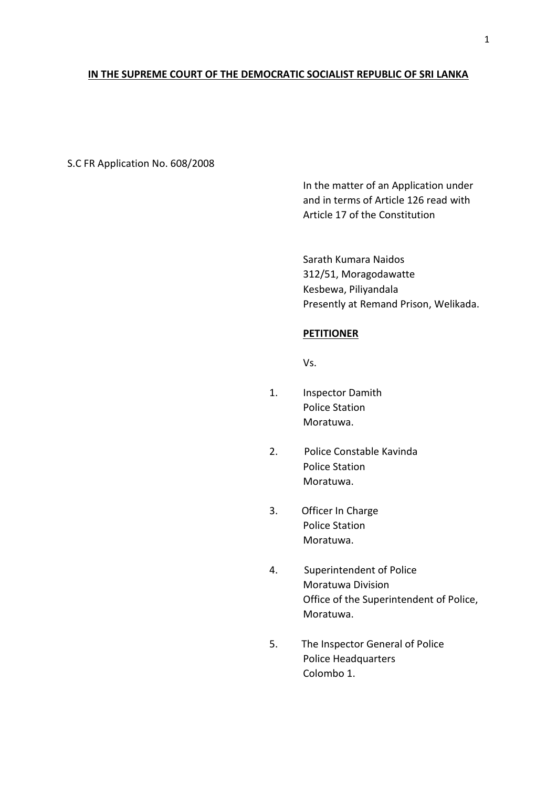## **IN THE SUPREME COURT OF THE DEMOCRATIC SOCIALIST REPUBLIC OF SRI LANKA**

S.C FR Application No. 608/2008

In the matter of an Application under and in terms of Article 126 read with Article 17 of the Constitution

Sarath Kumara Naidos 312/51, Moragodawatte Kesbewa, Piliyandala Presently at Remand Prison, Welikada.

#### **PETITIONER**

Vs.

- 1. Inspector Damith Police Station Moratuwa.
- 2. Police Constable Kavinda Police Station Moratuwa.
- 3. Officer In Charge Police Station Moratuwa.
- 4. Superintendent of Police Moratuwa Division Office of the Superintendent of Police, Moratuwa.
- 5. The Inspector General of Police Police Headquarters Colombo 1.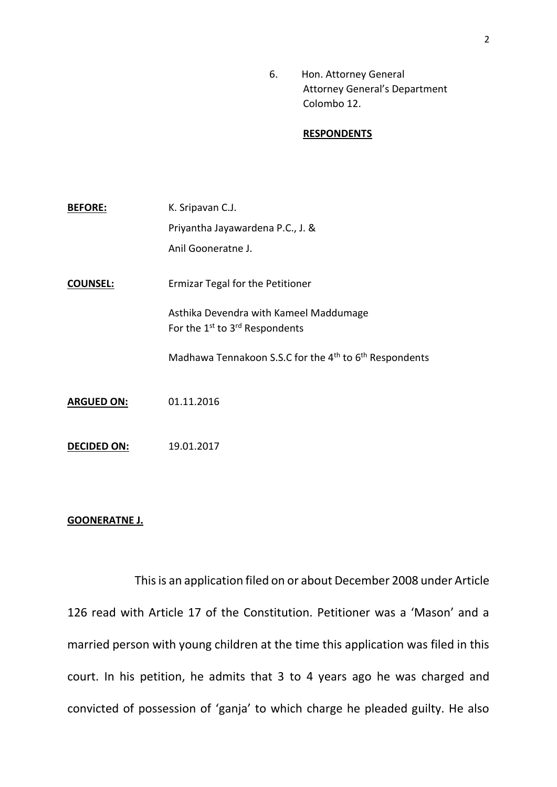6. Hon. Attorney General Attorney General's Department Colombo 12.

#### **RESPONDENTS**

| <b>BEFORE:</b>     | K. Sripavan C.J.                                                                                 |
|--------------------|--------------------------------------------------------------------------------------------------|
|                    | Priyantha Jayawardena P.C., J. &                                                                 |
|                    | Anil Gooneratne J.                                                                               |
| <b>COUNSEL:</b>    | Ermizar Tegal for the Petitioner                                                                 |
|                    | Asthika Devendra with Kameel Maddumage<br>For the 1 <sup>st</sup> to 3 <sup>rd</sup> Respondents |
|                    | Madhawa Tennakoon S.S.C for the 4 <sup>th</sup> to 6 <sup>th</sup> Respondents                   |
| <b>ARGUED ON:</b>  | 01.11.2016                                                                                       |
| <b>DECIDED ON:</b> | 19.01.2017                                                                                       |

# **GOONERATNE J.**

This is an application filed on or about December 2008 under Article 126 read with Article 17 of the Constitution. Petitioner was a 'Mason' and a married person with young children at the time this application was filed in this court. In his petition, he admits that 3 to 4 years ago he was charged and convicted of possession of 'ganja' to which charge he pleaded guilty. He also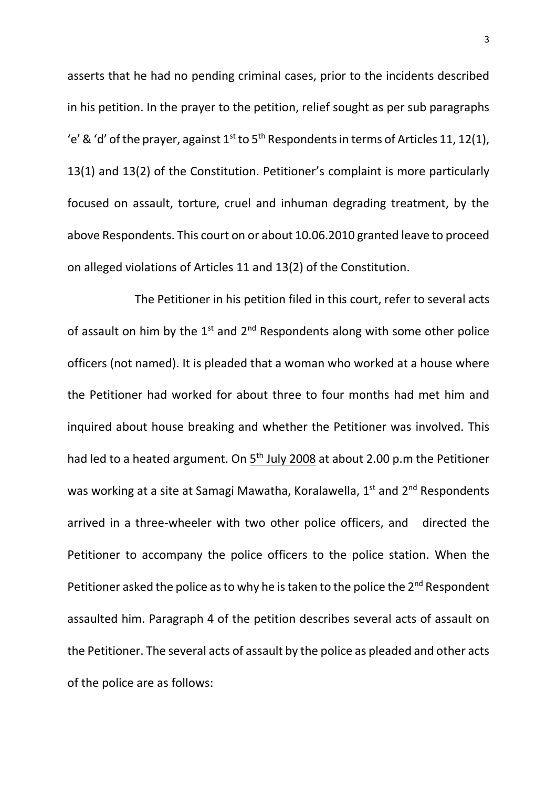asserts that he had no pending criminal cases, prior to the incidents described in his petition. In the prayer to the petition, relief sought as per sub paragraphs 'e' & 'd' of the prayer, against  $1^{st}$  to  $5^{th}$  Respondents in terms of Articles 11, 12(1), 13(1) and 13(2) of the Constitution. Petitioner's complaint is more particularly focused on assault, torture, cruel and inhuman degrading treatment, by the above Respondents. This court on or about 10.06.2010 granted leave to proceed on alleged violations of Articles 11 and 13(2) of the Constitution.

The Petitioner in his petition filed in this court, refer to several acts of assault on him by the  $1^{st}$  and  $2^{nd}$  Respondents along with some other police officers (not named). It is pleaded that a woman who worked at a house where the Petitioner had worked for about three to four months had met him and inquired about house breaking and whether the Petitioner was involved. This had led to a heated argument. On  $5<sup>th</sup>$  July 2008 at about 2.00 p.m the Petitioner was working at a site at Samagi Mawatha, Koralawella, 1<sup>st</sup> and 2<sup>nd</sup> Respondents arrived in a three-wheeler with two other police officers, and directed the Petitioner to accompany the police officers to the police station. When the Petitioner asked the police as to why he is taken to the police the 2<sup>nd</sup> Respondent assaulted him. Paragraph 4 of the petition describes several acts of assault on the Petitioner. The several acts of assault by the police as pleaded and other acts of the police are as follows: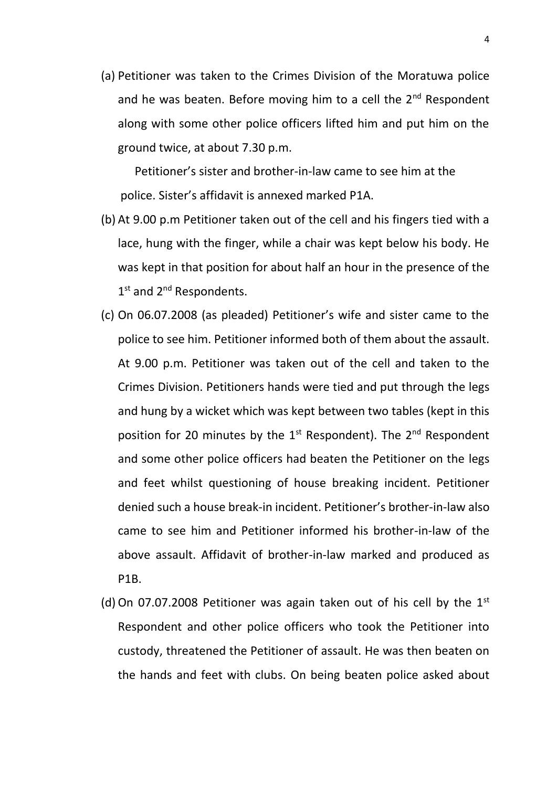(a) Petitioner was taken to the Crimes Division of the Moratuwa police and he was beaten. Before moving him to a cell the  $2<sup>nd</sup>$  Respondent along with some other police officers lifted him and put him on the ground twice, at about 7.30 p.m.

Petitioner's sister and brother-in-law came to see him at the police. Sister's affidavit is annexed marked P1A.

- (b) At 9.00 p.m Petitioner taken out of the cell and his fingers tied with a lace, hung with the finger, while a chair was kept below his body. He was kept in that position for about half an hour in the presence of the 1st and 2<sup>nd</sup> Respondents.
- (c) On 06.07.2008 (as pleaded) Petitioner's wife and sister came to the police to see him. Petitioner informed both of them about the assault. At 9.00 p.m. Petitioner was taken out of the cell and taken to the Crimes Division. Petitioners hands were tied and put through the legs and hung by a wicket which was kept between two tables (kept in this position for 20 minutes by the  $1<sup>st</sup>$  Respondent). The  $2<sup>nd</sup>$  Respondent and some other police officers had beaten the Petitioner on the legs and feet whilst questioning of house breaking incident. Petitioner denied such a house break-in incident. Petitioner's brother-in-law also came to see him and Petitioner informed his brother-in-law of the above assault. Affidavit of brother-in-law marked and produced as P1B.
- (d) On 07.07.2008 Petitioner was again taken out of his cell by the  $1<sup>st</sup>$ Respondent and other police officers who took the Petitioner into custody, threatened the Petitioner of assault. He was then beaten on the hands and feet with clubs. On being beaten police asked about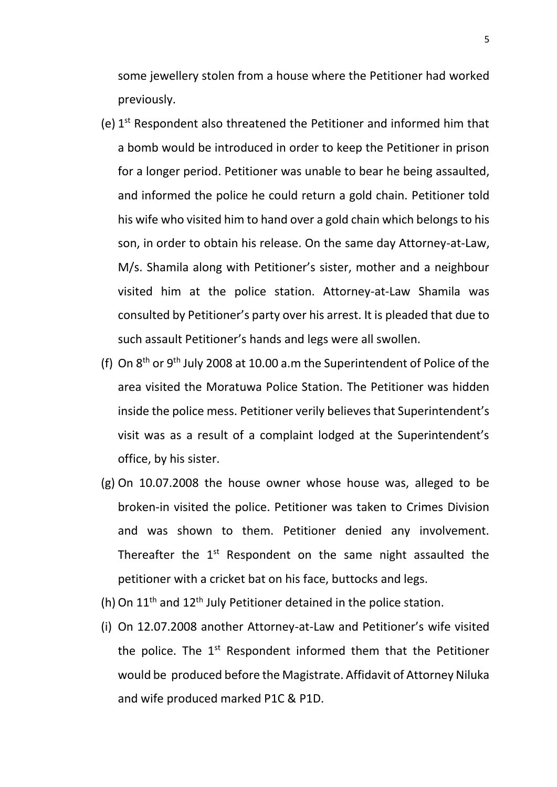some jewellery stolen from a house where the Petitioner had worked previously.

- (e) 1<sup>st</sup> Respondent also threatened the Petitioner and informed him that a bomb would be introduced in order to keep the Petitioner in prison for a longer period. Petitioner was unable to bear he being assaulted, and informed the police he could return a gold chain. Petitioner told his wife who visited him to hand over a gold chain which belongs to his son, in order to obtain his release. On the same day Attorney-at-Law, M/s. Shamila along with Petitioner's sister, mother and a neighbour visited him at the police station. Attorney-at-Law Shamila was consulted by Petitioner's party over his arrest. It is pleaded that due to such assault Petitioner's hands and legs were all swollen.
- (f) On  $8<sup>th</sup>$  or  $9<sup>th</sup>$  July 2008 at 10.00 a.m the Superintendent of Police of the area visited the Moratuwa Police Station. The Petitioner was hidden inside the police mess. Petitioner verily believes that Superintendent's visit was as a result of a complaint lodged at the Superintendent's office, by his sister.
- (g) On 10.07.2008 the house owner whose house was, alleged to be broken-in visited the police. Petitioner was taken to Crimes Division and was shown to them. Petitioner denied any involvement. Thereafter the  $1<sup>st</sup>$  Respondent on the same night assaulted the petitioner with a cricket bat on his face, buttocks and legs.
- (h) On  $11<sup>th</sup>$  and  $12<sup>th</sup>$  July Petitioner detained in the police station.
- (i) On 12.07.2008 another Attorney-at-Law and Petitioner's wife visited the police. The  $1<sup>st</sup>$  Respondent informed them that the Petitioner would be produced before the Magistrate. Affidavit of Attorney Niluka and wife produced marked P1C & P1D.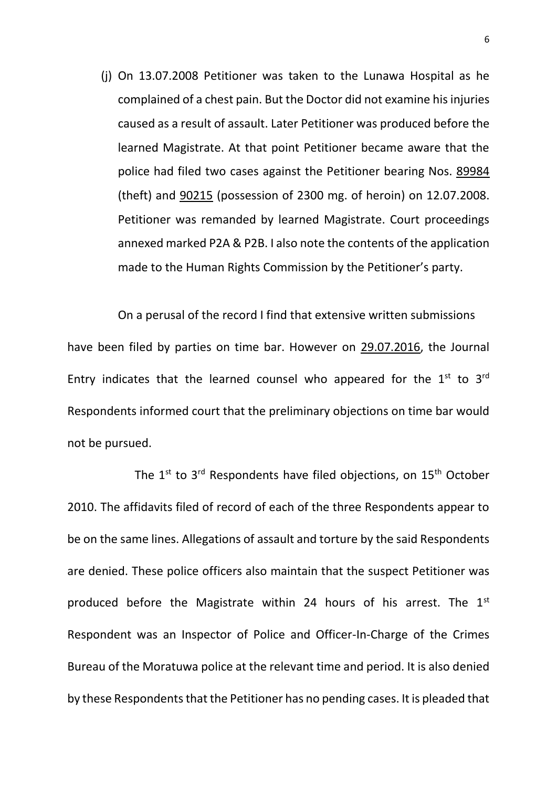(j) On 13.07.2008 Petitioner was taken to the Lunawa Hospital as he complained of a chest pain. But the Doctor did not examine his injuries caused as a result of assault. Later Petitioner was produced before the learned Magistrate. At that point Petitioner became aware that the police had filed two cases against the Petitioner bearing Nos. 89984 (theft) and 90215 (possession of 2300 mg. of heroin) on 12.07.2008. Petitioner was remanded by learned Magistrate. Court proceedings annexed marked P2A & P2B. I also note the contents of the application made to the Human Rights Commission by the Petitioner's party.

On a perusal of the record I find that extensive written submissions have been filed by parties on time bar. However on 29.07.2016, the Journal Entry indicates that the learned counsel who appeared for the  $1<sup>st</sup>$  to  $3<sup>rd</sup>$ Respondents informed court that the preliminary objections on time bar would not be pursued.

The  $1^{st}$  to  $3^{rd}$  Respondents have filed objections, on  $15^{th}$  October 2010. The affidavits filed of record of each of the three Respondents appear to be on the same lines. Allegations of assault and torture by the said Respondents are denied. These police officers also maintain that the suspect Petitioner was produced before the Magistrate within 24 hours of his arrest. The  $1<sup>st</sup>$ Respondent was an Inspector of Police and Officer-In-Charge of the Crimes Bureau of the Moratuwa police at the relevant time and period. It is also denied by these Respondents that the Petitioner has no pending cases. It is pleaded that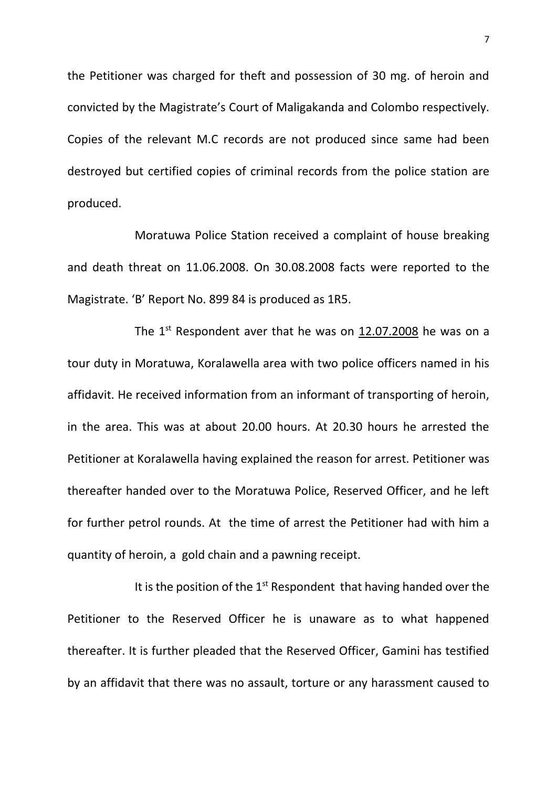the Petitioner was charged for theft and possession of 30 mg. of heroin and convicted by the Magistrate's Court of Maligakanda and Colombo respectively. Copies of the relevant M.C records are not produced since same had been destroyed but certified copies of criminal records from the police station are produced.

Moratuwa Police Station received a complaint of house breaking and death threat on 11.06.2008. On 30.08.2008 facts were reported to the Magistrate. 'B' Report No. 899 84 is produced as 1R5.

The  $1<sup>st</sup>$  Respondent aver that he was on 12.07.2008 he was on a tour duty in Moratuwa, Koralawella area with two police officers named in his affidavit. He received information from an informant of transporting of heroin, in the area. This was at about 20.00 hours. At 20.30 hours he arrested the Petitioner at Koralawella having explained the reason for arrest. Petitioner was thereafter handed over to the Moratuwa Police, Reserved Officer, and he left for further petrol rounds. At the time of arrest the Petitioner had with him a quantity of heroin, a gold chain and a pawning receipt.

It is the position of the  $1<sup>st</sup>$  Respondent that having handed over the Petitioner to the Reserved Officer he is unaware as to what happened thereafter. It is further pleaded that the Reserved Officer, Gamini has testified by an affidavit that there was no assault, torture or any harassment caused to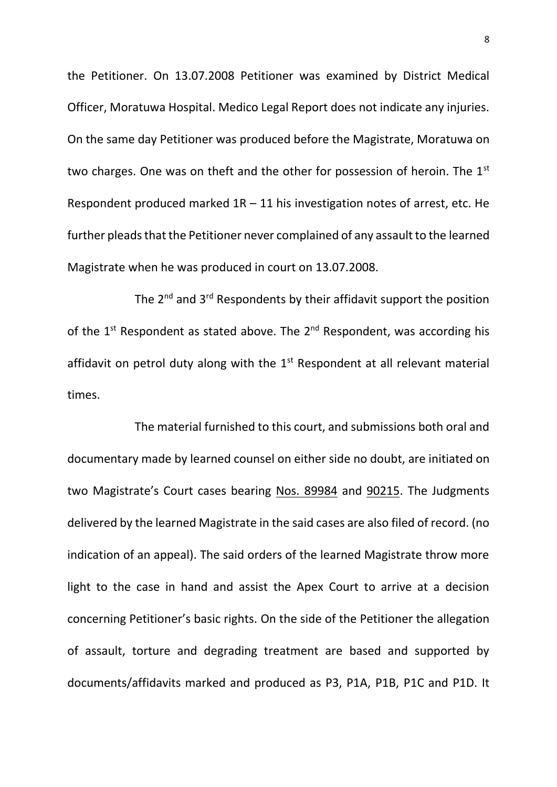the Petitioner. On 13.07.2008 Petitioner was examined by District Medical Officer, Moratuwa Hospital. Medico Legal Report does not indicate any injuries. On the same day Petitioner was produced before the Magistrate, Moratuwa on two charges. One was on theft and the other for possession of heroin. The 1<sup>st</sup> Respondent produced marked  $1R - 11$  his investigation notes of arrest, etc. He further pleads that the Petitioner never complained of any assault to the learned Magistrate when he was produced in court on 13.07.2008.

The 2<sup>nd</sup> and 3<sup>rd</sup> Respondents by their affidavit support the position of the  $1^{st}$  Respondent as stated above. The  $2^{nd}$  Respondent, was according his affidavit on petrol duty along with the  $1<sup>st</sup>$  Respondent at all relevant material times.

The material furnished to this court, and submissions both oral and documentary made by learned counsel on either side no doubt, are initiated on two Magistrate's Court cases bearing Nos. 89984 and 90215. The Judgments delivered by the learned Magistrate in the said cases are also filed of record. (no indication of an appeal). The said orders of the learned Magistrate throw more light to the case in hand and assist the Apex Court to arrive at a decision concerning Petitioner's basic rights. On the side of the Petitioner the allegation of assault, torture and degrading treatment are based and supported by documents/affidavits marked and produced as P3, P1A, P1B, P1C and P1D. It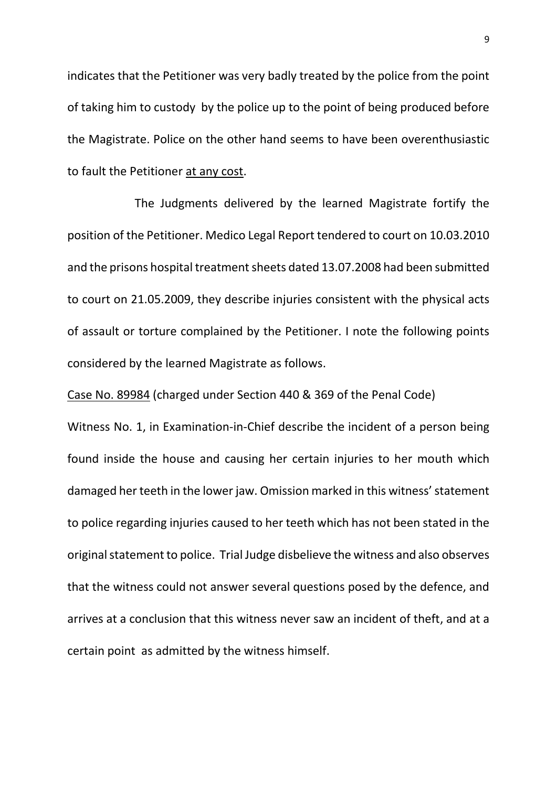indicates that the Petitioner was very badly treated by the police from the point of taking him to custody by the police up to the point of being produced before the Magistrate. Police on the other hand seems to have been overenthusiastic to fault the Petitioner at any cost.

The Judgments delivered by the learned Magistrate fortify the position of the Petitioner. Medico Legal Report tendered to court on 10.03.2010 and the prisons hospital treatment sheets dated 13.07.2008 had been submitted to court on 21.05.2009, they describe injuries consistent with the physical acts of assault or torture complained by the Petitioner. I note the following points considered by the learned Magistrate as follows.

Case No. 89984 (charged under Section 440 & 369 of the Penal Code)

Witness No. 1, in Examination-in-Chief describe the incident of a person being found inside the house and causing her certain injuries to her mouth which damaged her teeth in the lower jaw. Omission marked in this witness' statement to police regarding injuries caused to her teeth which has not been stated in the original statement to police. Trial Judge disbelieve the witness and also observes that the witness could not answer several questions posed by the defence, and arrives at a conclusion that this witness never saw an incident of theft, and at a certain point as admitted by the witness himself.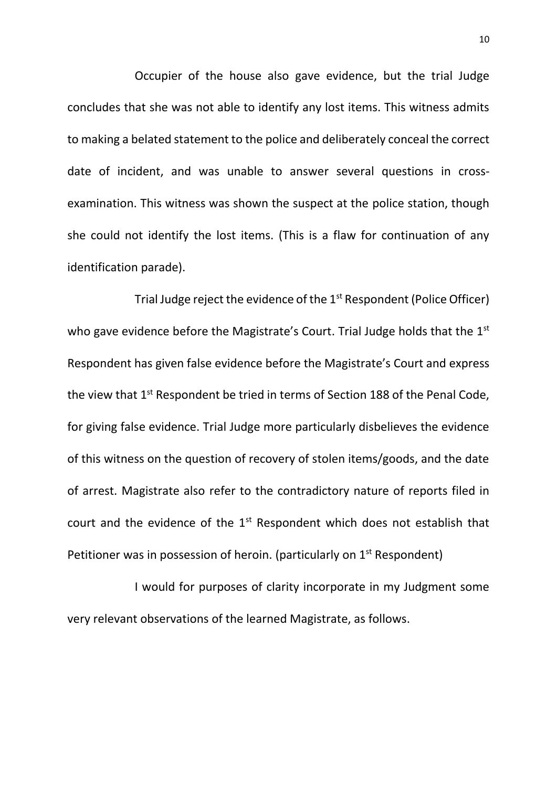Occupier of the house also gave evidence, but the trial Judge concludes that she was not able to identify any lost items. This witness admits to making a belated statement to the police and deliberately conceal the correct date of incident, and was unable to answer several questions in crossexamination. This witness was shown the suspect at the police station, though she could not identify the lost items. (This is a flaw for continuation of any identification parade).

Trial Judge reject the evidence of the 1<sup>st</sup> Respondent (Police Officer) who gave evidence before the Magistrate's Court. Trial Judge holds that the 1<sup>st</sup> Respondent has given false evidence before the Magistrate's Court and express the view that 1<sup>st</sup> Respondent be tried in terms of Section 188 of the Penal Code, for giving false evidence. Trial Judge more particularly disbelieves the evidence of this witness on the question of recovery of stolen items/goods, and the date of arrest. Magistrate also refer to the contradictory nature of reports filed in court and the evidence of the  $1<sup>st</sup>$  Respondent which does not establish that Petitioner was in possession of heroin. (particularly on  $1<sup>st</sup>$  Respondent)

I would for purposes of clarity incorporate in my Judgment some very relevant observations of the learned Magistrate, as follows.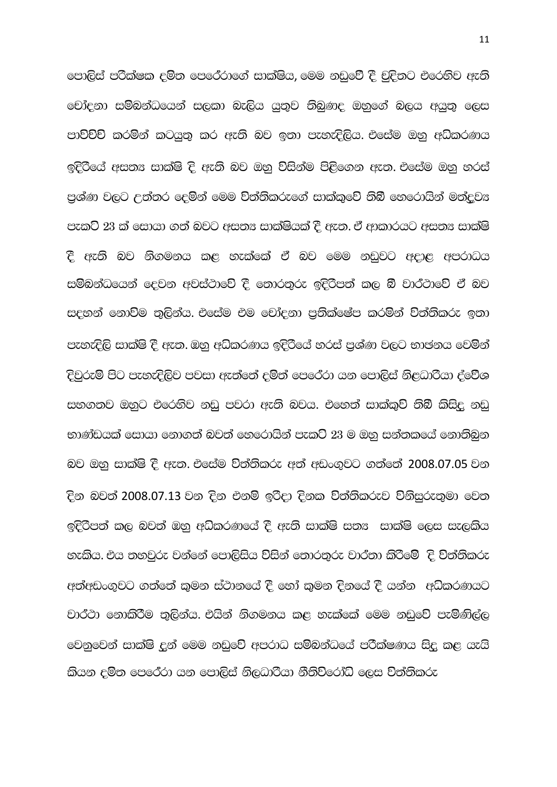පොලිස් පරික්ෂක දමින පෙරේරාගේ සාක්ෂිය, මෙම නඩුවේ දී චුදිතට එරෙහිව ඇති <u>චෝදනා සම්බන්ධයෙන් සලකා බැලිය යුතුව තිබුණද ඔහුගේ බලය අයුතු ලෙස</u> පාවිච්චි කරමින් කටයුතු කර ඇති බව ඉතා පැහැදිලිය. එසේම ඔහු අධිකරණය ඉදිරියේ අසත $x$  සාක්ෂි දි ඇති බව ඔහු විසින්ම පිළිගෙන ඇත. එසේම ඔහු හරස් පුශ්ණ වලට උත්තර දෙමින් මෙම විත්තිකරුගේ සාක්කුවේ තිබී හෙරොයින් මත්දුව $x$ පැකට් 23 ක් සොයා ගත් බවට අසත¤ සාක්ෂියක් දී ඇත. ඒ ආකාරයට අසත¤ සාක්ෂි ී ඇති බව නිගමනය කළ හැක්කේ ඒ බව මෙම නඩුවට අදාළ අපරාධය සම්බන්ධයෙන් දෙවන අවස්ථාවේ දී තොරතුරු ඉදිරිපත් කල බී වාර්ථාවේ ඒ බව සදහන් නොවිම තුලින්ය. එසේම එම චෝදනා පුතික්ෂේප කරමින් විත්තිකරු ඉතා පැහැදිලි සාක්ෂි දී ඇත. ඔහු අධිකරණය ඉදිරියේ හරස් පුශ්ණ වලට භාජනය වෙමින් දිවුරුම් පිට පැහැදිලිව පවසා ඇත්තේ දමිත් පෙරේරා යන පොලිස් නිළධාරියා ද්වේශ සහගතව ඔහුට එරෙහිව නඩු පවරා ඇති බවය. එහෙත් සාක්කුව් තිබී කිසිදු නඩු භාණ්ඩයක් සොයා නොගත් බවත් හෙරොයින් පැක**ට** 23 ම ඔහු සන්තකයේ නොතිබන බව ඔහු සාක්ෂි දී ඇත. එසේම විත්තිකරු අත් අඩංගුවට ගත්තේ 2008.07.05 වන ිදින බවත් 2008.07.13 වන දින එනම් ඉරිදා දිනක <mark>විත්තිකරුව විනිසුරුතු</mark>මා වෙත ඉදිරිපත් කල බවත් ඔහු අධිකරණයේ දී ඇති සාක්ෂි සත¤ සාක්ෂි ලෙස සැලකිය හැකිය. එය තහවුරු වන්නේ පොලිසිය විසින් තොරතුරු වාර්තා කිරිමේ දි විත්තිකරු අත්අඩංගුවට ගත්තේ කුමන ස්ථානයේ දී හෝ කුමන දිනයේ දී යන්න අධිකරණයට වාර්ථා නොකිරීම තුලින්ය. එයින් නිගමනය කළ හැක්කේ මෙම නඩුවේ පැමිණිල්ල @වනුවෙන් සාක්ෂි දන් මෙම නඩුවේ අපරාධ සම්බන්ධයේ පරීක්ෂණය සිදු කළ යැයි කියන දමිත පෙරේරා යන පොලිස් නිලධාරියා නීතිවිරෝධි ලෙස විත්තිකරු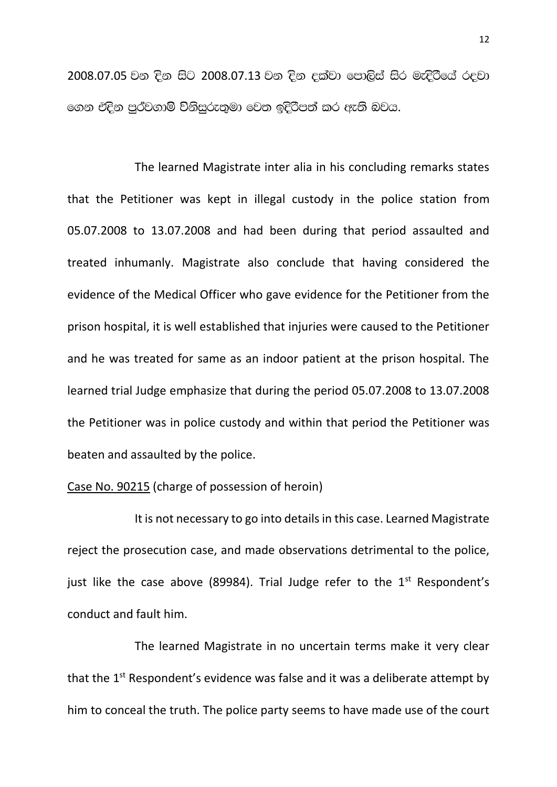2008.07.05 වන දින සිට 2008.07.13 වන දින දක්වා පොලිස් සිර මැදිරියේ රදවා ගෙන එදින පර්වගාමි විනිසරුතමා වෙත ඉදිරිපත් කර ඇති බවය.

The learned Magistrate inter alia in his concluding remarks states that the Petitioner was kept in illegal custody in the police station from 05.07.2008 to 13.07.2008 and had been during that period assaulted and treated inhumanly. Magistrate also conclude that having considered the evidence of the Medical Officer who gave evidence for the Petitioner from the prison hospital, it is well established that injuries were caused to the Petitioner and he was treated for same as an indoor patient at the prison hospital. The learned trial Judge emphasize that during the period 05.07.2008 to 13.07.2008 the Petitioner was in police custody and within that period the Petitioner was beaten and assaulted by the police.

## Case No. 90215 (charge of possession of heroin)

It is not necessary to go into details in this case. Learned Magistrate reject the prosecution case, and made observations detrimental to the police, just like the case above (89984). Trial Judge refer to the  $1<sup>st</sup>$  Respondent's conduct and fault him.

The learned Magistrate in no uncertain terms make it very clear that the  $1<sup>st</sup>$  Respondent's evidence was false and it was a deliberate attempt by him to conceal the truth. The police party seems to have made use of the court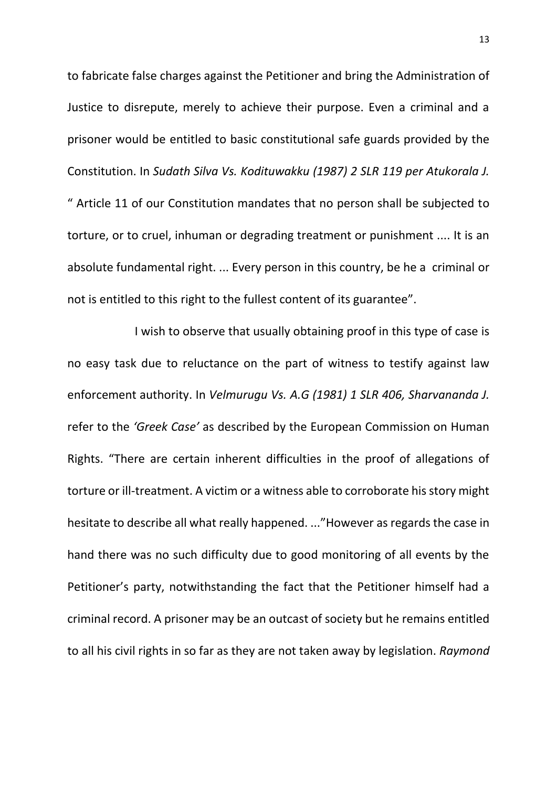to fabricate false charges against the Petitioner and bring the Administration of Justice to disrepute, merely to achieve their purpose. Even a criminal and a prisoner would be entitled to basic constitutional safe guards provided by the Constitution. In *Sudath Silva Vs. Kodituwakku (1987) 2 SLR 119 per Atukorala J.* " Article 11 of our Constitution mandates that no person shall be subjected to torture, or to cruel, inhuman or degrading treatment or punishment .... It is an absolute fundamental right. ... Every person in this country, be he a criminal or not is entitled to this right to the fullest content of its guarantee".

I wish to observe that usually obtaining proof in this type of case is no easy task due to reluctance on the part of witness to testify against law enforcement authority. In *Velmurugu Vs. A.G (1981) 1 SLR 406, Sharvananda J.* refer to the *'Greek Case'* as described by the European Commission on Human Rights. "There are certain inherent difficulties in the proof of allegations of torture or ill-treatment. A victim or a witness able to corroborate his story might hesitate to describe all what really happened. ..."However as regards the case in hand there was no such difficulty due to good monitoring of all events by the Petitioner's party, notwithstanding the fact that the Petitioner himself had a criminal record. A prisoner may be an outcast of society but he remains entitled to all his civil rights in so far as they are not taken away by legislation. *Raymond*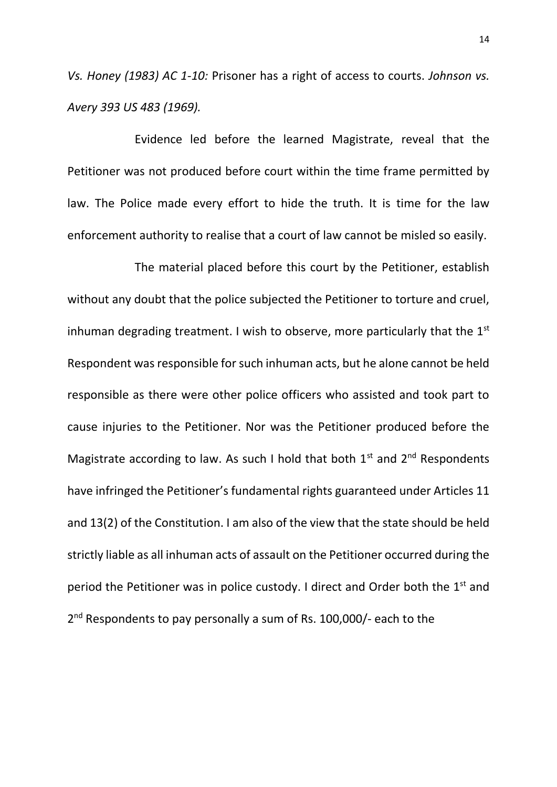*Vs. Honey (1983) AC 1-10:* Prisoner has a right of access to courts. *Johnson vs. Avery 393 US 483 (1969).*

Evidence led before the learned Magistrate, reveal that the Petitioner was not produced before court within the time frame permitted by law. The Police made every effort to hide the truth. It is time for the law enforcement authority to realise that a court of law cannot be misled so easily.

The material placed before this court by the Petitioner, establish without any doubt that the police subjected the Petitioner to torture and cruel, inhuman degrading treatment. I wish to observe, more particularly that the  $1<sup>st</sup>$ Respondent was responsible for such inhuman acts, but he alone cannot be held responsible as there were other police officers who assisted and took part to cause injuries to the Petitioner. Nor was the Petitioner produced before the Magistrate according to law. As such I hold that both  $1^{st}$  and  $2^{nd}$  Respondents have infringed the Petitioner's fundamental rights guaranteed under Articles 11 and 13(2) of the Constitution. I am also of the view that the state should be held strictly liable as all inhuman acts of assault on the Petitioner occurred during the period the Petitioner was in police custody. I direct and Order both the  $1<sup>st</sup>$  and 2<sup>nd</sup> Respondents to pay personally a sum of Rs. 100,000/- each to the